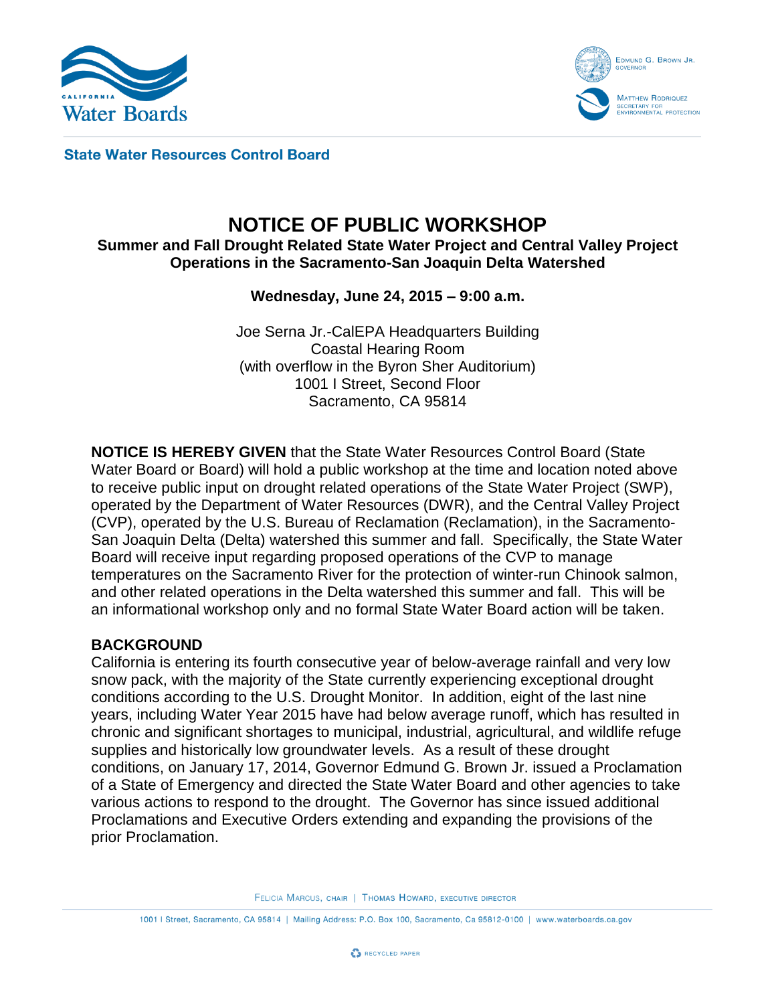



**State Water Resources Control Board** 

# **NOTICE OF PUBLIC WORKSHOP**

#### **Summer and Fall Drought Related State Water Project and Central Valley Project Operations in the Sacramento-San Joaquin Delta Watershed**

### **Wednesday, June 24, 2015 – 9:00 a.m.**

Joe Serna Jr.-CalEPA Headquarters Building Coastal Hearing Room (with overflow in the Byron Sher Auditorium) 1001 I Street, Second Floor Sacramento, CA 95814

**NOTICE IS HEREBY GIVEN** that the State Water Resources Control Board (State Water Board or Board) will hold a public workshop at the time and location noted above to receive public input on drought related operations of the State Water Project (SWP), operated by the Department of Water Resources (DWR), and the Central Valley Project (CVP), operated by the U.S. Bureau of Reclamation (Reclamation), in the Sacramento-San Joaquin Delta (Delta) watershed this summer and fall. Specifically, the State Water Board will receive input regarding proposed operations of the CVP to manage temperatures on the Sacramento River for the protection of winter-run Chinook salmon, and other related operations in the Delta watershed this summer and fall. This will be an informational workshop only and no formal State Water Board action will be taken.

#### **BACKGROUND**

California is entering its fourth consecutive year of below-average rainfall and very low snow pack, with the majority of the State currently experiencing exceptional drought conditions according to the U.S. Drought Monitor. In addition, eight of the last nine years, including Water Year 2015 have had below average runoff, which has resulted in chronic and significant shortages to municipal, industrial, agricultural, and wildlife refuge supplies and historically low groundwater levels. As a result of these drought conditions, on January 17, 2014, Governor Edmund G. Brown Jr. issued a Proclamation of a State of Emergency and directed the State Water Board and other agencies to take various actions to respond to the drought. The Governor has since issued additional Proclamations and Executive Orders extending and expanding the provisions of the prior Proclamation.

FELICIA MARCUS, CHAIR | THOMAS HOWARD, EXECUTIVE DIRECTOR

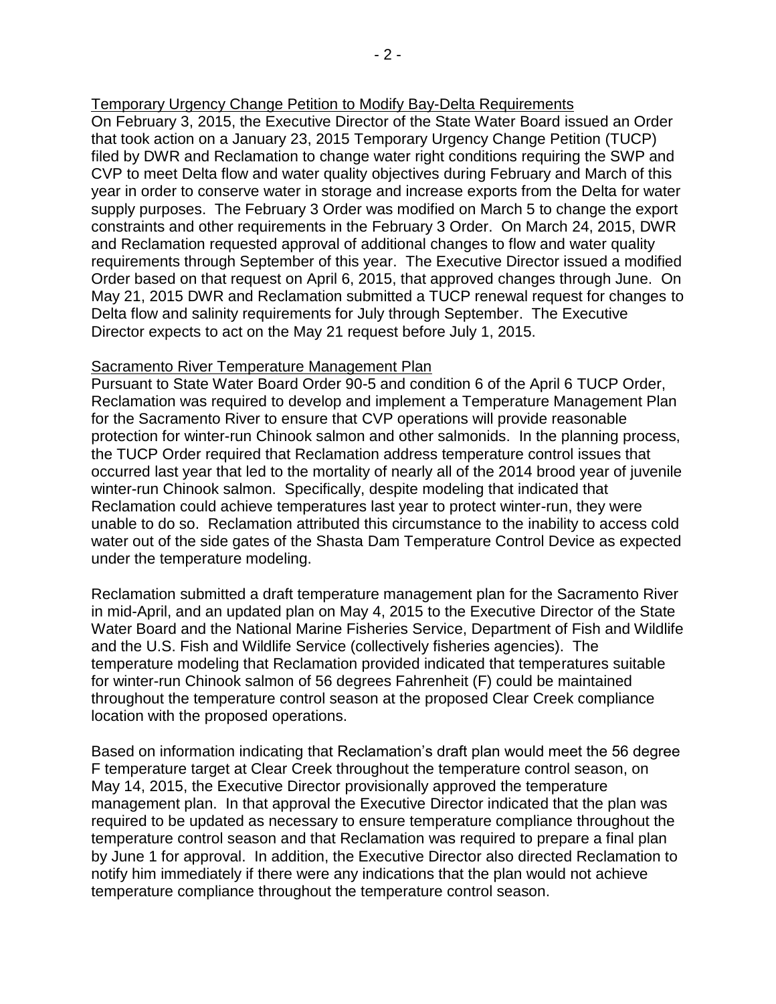#### Temporary Urgency Change Petition to Modify Bay-Delta Requirements

On February 3, 2015, the Executive Director of the State Water Board issued an Order that took action on a January 23, 2015 Temporary Urgency Change Petition (TUCP) filed by DWR and Reclamation to change water right conditions requiring the SWP and CVP to meet Delta flow and water quality objectives during February and March of this year in order to conserve water in storage and increase exports from the Delta for water supply purposes. The February 3 Order was modified on March 5 to change the export constraints and other requirements in the February 3 Order. On March 24, 2015, DWR and Reclamation requested approval of additional changes to flow and water quality requirements through September of this year. The Executive Director issued a modified Order based on that request on April 6, 2015, that approved changes through June. On May 21, 2015 DWR and Reclamation submitted a TUCP renewal request for changes to Delta flow and salinity requirements for July through September. The Executive Director expects to act on the May 21 request before July 1, 2015.

#### Sacramento River Temperature Management Plan

Pursuant to State Water Board Order 90-5 and condition 6 of the April 6 TUCP Order, Reclamation was required to develop and implement a Temperature Management Plan for the Sacramento River to ensure that CVP operations will provide reasonable protection for winter-run Chinook salmon and other salmonids. In the planning process, the TUCP Order required that Reclamation address temperature control issues that occurred last year that led to the mortality of nearly all of the 2014 brood year of juvenile winter-run Chinook salmon. Specifically, despite modeling that indicated that Reclamation could achieve temperatures last year to protect winter-run, they were unable to do so. Reclamation attributed this circumstance to the inability to access cold water out of the side gates of the Shasta Dam Temperature Control Device as expected under the temperature modeling.

Reclamation submitted a draft temperature management plan for the Sacramento River in mid-April, and an updated plan on May 4, 2015 to the Executive Director of the State Water Board and the National Marine Fisheries Service, Department of Fish and Wildlife and the U.S. Fish and Wildlife Service (collectively fisheries agencies). The temperature modeling that Reclamation provided indicated that temperatures suitable for winter-run Chinook salmon of 56 degrees Fahrenheit (F) could be maintained throughout the temperature control season at the proposed Clear Creek compliance location with the proposed operations.

Based on information indicating that Reclamation's draft plan would meet the 56 degree F temperature target at Clear Creek throughout the temperature control season, on May 14, 2015, the Executive Director provisionally approved the temperature management plan. In that approval the Executive Director indicated that the plan was required to be updated as necessary to ensure temperature compliance throughout the temperature control season and that Reclamation was required to prepare a final plan by June 1 for approval. In addition, the Executive Director also directed Reclamation to notify him immediately if there were any indications that the plan would not achieve temperature compliance throughout the temperature control season.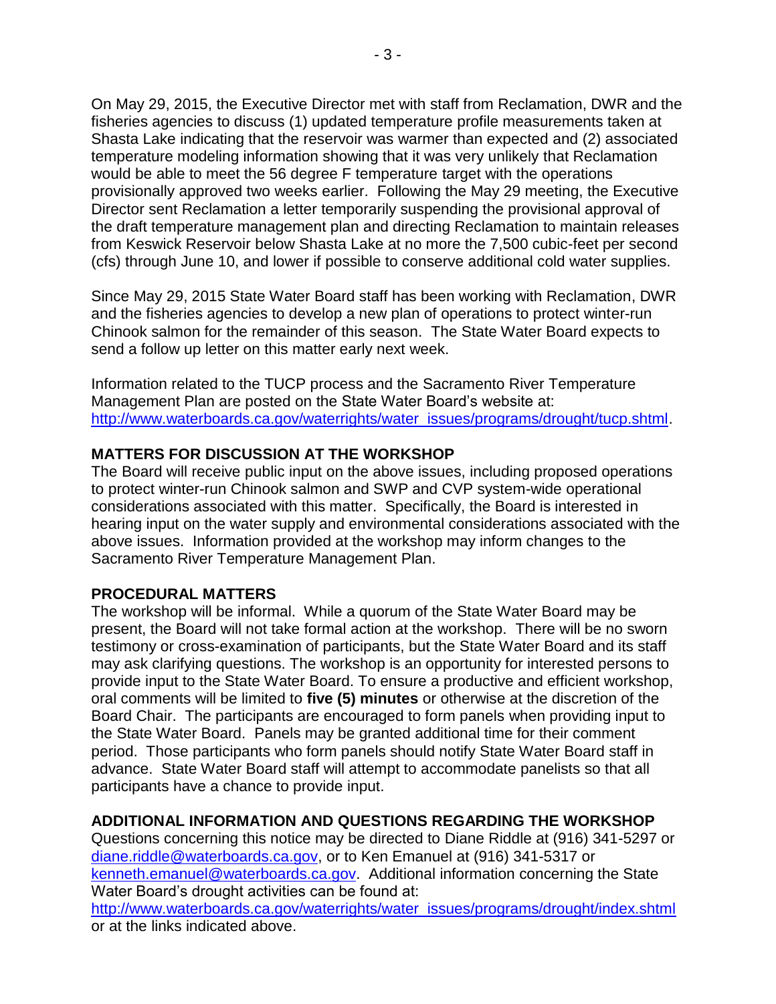On May 29, 2015, the Executive Director met with staff from Reclamation, DWR and the fisheries agencies to discuss (1) updated temperature profile measurements taken at Shasta Lake indicating that the reservoir was warmer than expected and (2) associated temperature modeling information showing that it was very unlikely that Reclamation would be able to meet the 56 degree F temperature target with the operations provisionally approved two weeks earlier. Following the May 29 meeting, the Executive Director sent Reclamation a letter temporarily suspending the provisional approval of the draft temperature management plan and directing Reclamation to maintain releases from Keswick Reservoir below Shasta Lake at no more the 7,500 cubic-feet per second (cfs) through June 10, and lower if possible to conserve additional cold water supplies.

Since May 29, 2015 State Water Board staff has been working with Reclamation, DWR and the fisheries agencies to develop a new plan of operations to protect winter-run Chinook salmon for the remainder of this season. The State Water Board expects to send a follow up letter on this matter early next week.

Information related to the TUCP process and the Sacramento River Temperature Management Plan are posted on the State Water Board's website at: [http://www.waterboards.ca.gov/waterrights/water\\_issues/programs/drought/tucp.shtml.](http://www.waterboards.ca.gov/waterrights/water_issues/programs/drought/tucp.shtml)

#### **MATTERS FOR DISCUSSION AT THE WORKSHOP**

The Board will receive public input on the above issues, including proposed operations to protect winter-run Chinook salmon and SWP and CVP system-wide operational considerations associated with this matter. Specifically, the Board is interested in hearing input on the water supply and environmental considerations associated with the above issues. Information provided at the workshop may inform changes to the Sacramento River Temperature Management Plan.

#### **PROCEDURAL MATTERS**

The workshop will be informal. While a quorum of the State Water Board may be present, the Board will not take formal action at the workshop. There will be no sworn testimony or cross-examination of participants, but the State Water Board and its staff may ask clarifying questions. The workshop is an opportunity for interested persons to provide input to the State Water Board. To ensure a productive and efficient workshop, oral comments will be limited to **five (5) minutes** or otherwise at the discretion of the Board Chair. The participants are encouraged to form panels when providing input to the State Water Board. Panels may be granted additional time for their comment period. Those participants who form panels should notify State Water Board staff in advance. State Water Board staff will attempt to accommodate panelists so that all participants have a chance to provide input.

## **ADDITIONAL INFORMATION AND QUESTIONS REGARDING THE WORKSHOP**

Questions concerning this notice may be directed to Diane Riddle at (916) 341-5297 or [diane.riddle@waterboards.ca.gov,](mailto:diane.riddle@waterboards.ca.gov) or to Ken Emanuel at (916) 341-5317 or [kenneth.emanuel@waterboards.ca.gov.](mailto:kenneth.emanuel@waterboards.ca.gov) Additional information concerning the State Water Board's drought activities can be found at: [http://www.waterboards.ca.gov/waterrights/water\\_issues/programs/drought/index.shtml](http://www.waterboards.ca.gov/waterrights/water_issues/programs/drought/index.shtml) or at the links indicated above.